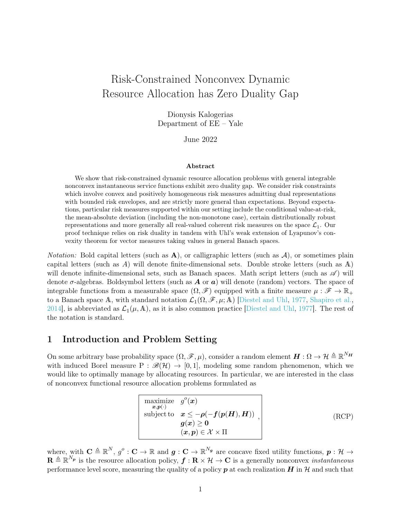# Risk-Constrained Nonconvex Dynamic Resource Allocation has Zero Duality Gap

Dionysis Kalogerias Department of EE – Yale

June 2022

#### Abstract

We show that risk-constrained dynamic resource allocation problems with general integrable nonconvex instantaneous service functions exhibit zero duality gap. We consider risk constraints which involve convex and positively homogeneous risk measures admitting dual representations with bounded risk envelopes, and are strictly more general than expectations. Beyond expectations, particular risk measures supported within our setting include the conditional value-at-risk, the mean-absolute deviation (including the non-monotone case), certain distributionally robust representations and more generally all real-valued coherent risk measures on the space  $\mathcal{L}_1$ . Our proof technique relies on risk duality in tandem with Uhl's weak extension of Lyapunov's convexity theorem for vector measures taking values in general Banach spaces.

*Notation:* Bold capital letters (such as  $\bf{A}$ ), or calligraphic letters (such as  $\bf{A}$ ), or sometimes plain capital letters (such as A) will denote finite-dimensional sets. Double stroke letters (such as A) will denote infinite-dimensional sets, such as Banach spaces. Math script letters (such as  $\mathscr{A}$ ) will denote  $\sigma$ -algebras. Boldsymbol letters (such as **A** or **a**) will denote (random) vectors. The space of integrable functions from a measurable space  $(\Omega, \mathscr{F})$  equipped with a finite measure  $\mu : \mathscr{F} \to \mathbb{R}_+$ to a Banach space A, with standard notation  $\mathcal{L}_1(\Omega, \mathscr{F}, \mu; A)$  [\[Diestel and Uhl,](#page-15-0) [1977,](#page-15-0) [Shapiro et al.,](#page-15-1) [2014\]](#page-15-1), is abbreviated as  $\mathcal{L}_1(\mu, \mathbb{A})$ , as it is also common practice [\[Diestel and Uhl,](#page-15-0) [1977\]](#page-15-0). The rest of the notation is standard.

### <span id="page-0-1"></span>1 Introduction and Problem Setting

On some arbitrary base probability space  $(\Omega, \mathscr{F}, \mu)$ , consider a random element  $\boldsymbol{H} : \Omega \to \mathcal{H} \triangleq \mathbb{R}^{N_H}$ with induced Borel measure  $P : \mathscr{B}(H) \to [0,1]$ , modeling some random phenomenon, which we would like to optimally manage by allocating resources. In particular, we are interested in the class of nonconvex functional resource allocation problems formulated as

<span id="page-0-0"></span>
$$
\begin{array}{|l|}\n\hline\n\text{maximize} & g^o(\boldsymbol{x}) \\
\hline\n\text{subject to} & \boldsymbol{x} \le -\rho(-f(p(\boldsymbol{H}), \boldsymbol{H})) \\
\hline\n\text{subject to} & \boldsymbol{x} \le -\rho(-f(\boldsymbol{p}(\boldsymbol{H}), \boldsymbol{H})) \\
\hline\n\text{(RCP)} \\
\hline\n\text{(x, p)} \in \mathcal{X} \times \Pi\n\end{array}
$$

where, with  $\mathbf{C} \triangleq \mathbb{R}^N$ ,  $g^o : \mathbf{C} \to \mathbb{R}$  and  $g : \mathbf{C} \to \mathbb{R}^{N_g}$  are concave fixed utility functions,  $p : \mathcal{H} \to$  $\mathbf{R} \triangleq \mathbb{R}^{N_p}$  is the resource allocation policy,  $\boldsymbol{f} : \mathbf{R} \times \mathcal{H} \to \mathbf{C}$  is a generally nonconvex *instantaneous* performance level score, measuring the quality of a policy  $p$  at each realization  $H$  in  $H$  and such that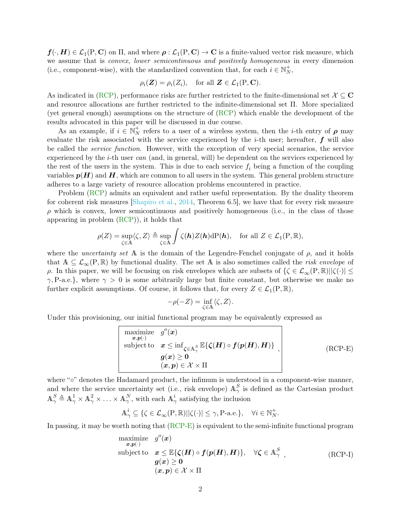$f(\cdot, H) \in \mathcal{L}_1(\text{P}, \mathbf{C})$  on  $\Pi$ , and where  $\rho: \mathcal{L}_1(\text{P}, \mathbf{C}) \to \mathbf{C}$  is a finite-valued vector risk measure, which we assume that is *convex*, lower semicontinuous and positively homogeneous in every dimension (i.e., component-wise), with the standardized convention that, for each  $i \in \mathbb{N}_N^+$ ,

$$
\rho_i(\mathbf{Z}) = \rho_i(Z_i), \text{ for all } \mathbf{Z} \in \mathcal{L}_1(\mathbf{P}, \mathbf{C}).
$$

As indicated in [\(RCP\)](#page-0-0), performance risks are further restricted to the finite-dimensional set  $\mathcal{X} \subseteq \mathbf{C}$ and resource allocations are further restricted to the infinite-dimensional set Π. More specialized (yet general enough) assumptions on the structure of [\(RCP\)](#page-0-0) which enable the development of the results advocated in this paper will be discussed in due course.

As an example, if  $i \in \mathbb{N}_{N}^{+}$  refers to a user of a wireless system, then the *i*-th entry of  $\rho$  may evaluate the risk associated with the service experienced by the *i*-th user; hereafter,  $f$  will also be called the service function. However, with the exception of very special scenarios, the service experienced by the  $i$ -th user can (and, in general, will) be dependent on the services experienced by the rest of the users in the system. This is due to each service  $f_i$  being a function of the coupling variables  $p(H)$  and H, which are common to all users in the system. This general problem structure adheres to a large variety of resource allocation problems encountered in practice.

Problem [\(RCP\)](#page-0-0) admits an equivalent and rather useful representation. By the duality theorem for coherent risk measures [\[Shapiro et al.,](#page-15-1) [2014,](#page-15-1) Theorem 6.5], we have that for every risk measure  $\rho$  which is convex, lower semicontinuous and positively homogeneous (i.e., in the class of those appearing in problem [\(RCP\)](#page-0-0)), it holds that

$$
\rho(Z) = \sup_{\zeta \in \mathbb{A}} \langle \zeta, Z \rangle \triangleq \sup_{\zeta \in \mathbb{A}} \int \zeta(\mathbf{h}) Z(\mathbf{h}) \mathrm{d}P(\mathbf{h}), \quad \text{for all } Z \in \mathcal{L}_1(\mathbf{P}, \mathbb{R}),
$$

where the *uncertainty set* A is the domain of the Legendre-Fenchel conjugate of  $\rho$ , and it holds that  $A \subseteq \mathcal{L}_{\infty}(P,\mathbb{R})$  by functional duality. The set A is also sometimes called the *risk envelope* of ρ. In this paper, we will be focusing on risk envelopes which are subsets of  $\{\zeta \in \mathcal{L}_{\infty}(P, \mathbb{R}) | |\zeta(\cdot)| \leq \zeta \}$  $\gamma$ , P-a.e.}, where  $\gamma > 0$  is some arbitrarily large but finite constant, but otherwise we make no further explicit assumptions. Of course, it follows that, for every  $Z \in \mathcal{L}_1(P, \mathbb{R})$ ,

<span id="page-1-0"></span>
$$
-\rho(-Z) = \inf_{\zeta \in \mathbb{A}} \langle \zeta, Z \rangle.
$$

Under this provisioning, our initial functional program may be equivalently expressed as

$$
\begin{array}{|l|}\n\hline\n\text{maximize} & g^o(\boldsymbol{x}) \\
\hline\n\text{subject to} & \boldsymbol{x} \leq \inf_{\boldsymbol{\zeta} \in \mathbb{A}_\gamma^S} \mathbb{E}\{\boldsymbol{\zeta}(\boldsymbol{H}) \circ \boldsymbol{f}(\boldsymbol{p}(\boldsymbol{H}), \boldsymbol{H})\} \\
\hline\n\boldsymbol{g}(\boldsymbol{x}) \geq \boldsymbol{0} \\
(\boldsymbol{x}, \boldsymbol{p}) \in \mathcal{X} \times \Pi\n\end{array} \tag{RCP-E}
$$

where "∘" denotes the Hadamard product, the infimum is understood in a component-wise manner, and where the service uncertainty set (i.e., risk envelope)  $\mathbb{A}_{\gamma}^{S}$  is defined as the Cartesian product  $\mathbb{A}^S_\gamma \triangleq \mathbb{A}^1_\gamma \times \mathbb{A}^2_\gamma \times \ldots \times \mathbb{A}^N_\gamma$ , with each  $\mathbb{A}^i_\gamma$  satisfying the inclusion

$$
\mathbb{A}^i_{\gamma} \subseteq \{ \zeta \in \mathcal{L}_{\infty}(\mathbf{P}, \mathbb{R}) | |\zeta(\cdot)| \leq \gamma, \mathbf{P}\text{-a.e.} \}, \quad \forall i \in \mathbb{N}_N^+.
$$

In passing, it may be worth noting that [\(RCP-E\)](#page-1-0) is equivalent to the semi-infinite functional program

maximize 
$$
g^o(\mathbf{x})
$$
  
\nsubject to  $\mathbf{x} \leq \mathbb{E}\{\zeta(\mathbf{H}) \circ \mathbf{f}(\mathbf{p}(\mathbf{H}), \mathbf{H})\}, \quad \forall \zeta \in \mathbb{A}_{\gamma}^S$ ,  
\n $\mathbf{g}(\mathbf{x}) \geq \mathbf{0}$   
\n $(\mathbf{x}, \mathbf{p}) \in \mathcal{X} \times \Pi$  (RCP-1)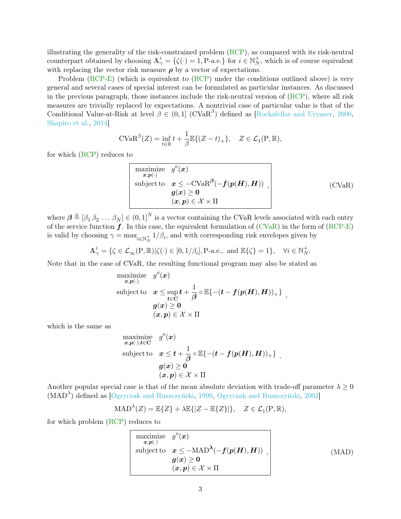illustrating the generality of the risk-constrained problem  $(RCP)$ , as compared with its risk-neutral counterpart obtained by choosing  $A^i_\gamma = {\zeta(\cdot) = 1, P-a.e.}$  for  $i \in N^+_N$ , which is of course equivalent with replacing the vector risk measure  $\rho$  by a vector of expectations.

Problem [\(RCP-E\)](#page-1-0) (which is equivalent to [\(RCP\)](#page-0-0) under the conditions outlined above) is very general and several cases of special interest can be formulated as particular instances. As discussed in the previous paragraph, those instances include the risk-neutral version of [\(RCP\)](#page-0-0), where all risk measures are trivially replaced by expectations. A nontrivial case of particular value is that of the Conditional Value-at-Risk at level  $\beta \in (0,1]$  (CVaR<sup> $\beta$ </sup>) defined as [\[Rockafellar and Uryasev,](#page-15-2) [2000,](#page-15-2) [Shapiro et al.,](#page-15-1) [2014\]](#page-15-1)

$$
\text{CVaR}^{\beta}(Z) = \inf_{t \in \mathbb{R}} t + \frac{1}{\beta} \mathbb{E}\{(Z - t)_+\}, \quad Z \in \mathcal{L}_1(\mathcal{P}, \mathbb{R}),
$$

for which [\(RCP\)](#page-0-0) reduces to

$$
\begin{array}{|l|l|}\n\hline\n\text{maximize} & g^o(\boldsymbol{x}) \\
\hline\n\text{subject to} & \boldsymbol{x} \leq -\text{CVaR}^\beta(-\boldsymbol{f}(\boldsymbol{p}(\boldsymbol{H}), \boldsymbol{H})) \\
\hline\n\boldsymbol{g}(\boldsymbol{x}) \geq \mathbf{0} \\
(\boldsymbol{x}, \boldsymbol{p}) \in \mathcal{X} \times \Pi\n\end{array} \tag{CVaR}
$$

where  $\boldsymbol{\beta} \triangleq [\beta_1 \beta_2 \dots \beta_N] \in (0,1]^N$  is a vector containing the CVaR levels associated with each entry of the service function  $f$ . In this case, the equivalent formulation of [\(CVaR\)](#page-2-0) in the form of [\(RCP-E\)](#page-1-0) is valid by choosing  $\gamma = \max_{i \in \mathbb{N}_N^+} 1/\beta_i$ , and with corresponding risk envelopes given by

$$
\mathbb{A}^i_\gamma = \{ \zeta \in \mathcal{L}_\infty(\mathbf{P}, \mathbb{R}) | \zeta(\cdot) \in [0, 1/\beta_i], \mathbf{P}\text{-a.e., and } \mathbb{E}\{\zeta\} = 1 \}, \quad \forall i \in \mathbb{N}_N^+.
$$

Note that in the case of CVaR, the resulting functional program may also be stated as

$$
\begin{array}{ll} \displaystyle \mathop{\mathrm{maximize}}_{\bm x, \bm p(\cdot)} & {g}^o(\bm x) \\ \text{subject to} & \bm x \leq \sup_{\bm t \in \mathbf C} \bm t + \frac{1}{\beta} \circ \mathbb{E}\{-(\bm t - \bm f(\bm p(\bm H), \bm H))_+\} \\ & {g}(\bm x) \geq \bm 0 \\ & (\bm x, \bm p) \in \mathcal X \times \Pi \end{array},
$$

which is the same as

$$
\begin{array}{ll} \displaystyle \mathop{\mathrm{maximize}}_{\boldsymbol{x}, \boldsymbol{p}(\cdot), \boldsymbol{t} \in \mathbf{C}} & {g}^o(\boldsymbol{x}) \\ \mathrm{subject~to} & \boldsymbol{x} \leq \boldsymbol{t} + \frac{1}{\beta} \circ \mathbb{E}\{-(\boldsymbol{t} - \boldsymbol{f}(\boldsymbol{p}(\boldsymbol{H}), \boldsymbol{H}))_+\} \\ & & \\ & {g}(\boldsymbol{x}) \geq \boldsymbol{0} \\ & & \\ & (\boldsymbol{x}, \boldsymbol{p}) \in \mathcal{X} \times \Pi \end{array}
$$

Another popular special case is that of the mean absolute deviation with trade-off parameter  $\lambda \geq 0$ (MAD<sup>λ</sup> ) defined as [\[Ogryczak and Ruszczyński,](#page-15-3) [1999,](#page-15-3) [Ogryczak and Ruszczyński,](#page-15-4) [2002\]](#page-15-4)

$$
\text{MAD}^{\lambda}(Z) = \mathbb{E}\{Z\} + \lambda \mathbb{E}\{|Z - \mathbb{E}\{Z\}|\}, \quad Z \in \mathcal{L}_1(\mathcal{P}, \mathbb{R}),
$$

for which problem [\(RCP\)](#page-0-0) reduces to

$$
\begin{array}{ll}\n\text{maximize} & g^o(\mathbf{x}) \\
\text{subject to} & \mathbf{x} \leq -\text{MAD}^{\lambda}(-\mathbf{f}(\mathbf{p}(\mathbf{H}), \mathbf{H})) \\
& \mathbf{g}(\mathbf{x}) \geq \mathbf{0} \\
& (\mathbf{x}, \mathbf{p}) \in \mathcal{X} \times \Pi\n\end{array} \tag{MAD}
$$

<span id="page-2-1"></span><span id="page-2-0"></span>.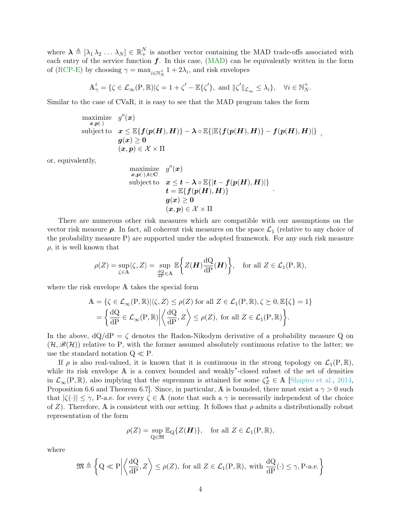where  $\lambda \triangleq [\lambda_1 \lambda_2 \ldots \lambda_N] \in \mathbb{R}_+^N$  is another vector containing the MAD trade-offs associated with each entry of the service function  $f$ . In this case,  $(MAD)$  can be equivalently written in the form of [\(RCP-E\)](#page-1-0) by choosing  $\gamma = \max_{i \in \mathbb{N}_N^+} 1 + 2\lambda_i$ , and risk envelopes

$$
\mathbb{A}^i_\gamma = \{ \zeta \in \mathcal{L}_\infty(\mathbf{P}, \mathbb{R}) | \zeta = 1 + \zeta' - \mathbb{E}\{\zeta'\}, \text{ and } ||\zeta'||_{\mathcal{L}_\infty} \le \lambda_i \}, \quad \forall i \in \mathbb{N}_N^+.
$$

Similar to the case of CVaR, it is easy to see that the MAD program takes the form

maximize 
$$
g^o(x)
$$
  
\nsubject to  $x \leq \mathbb{E}\{f(p(H), H)\} - \lambda \circ \mathbb{E}\{\mathbb{E}\{f(p(H), H)\} - f(p(H), H)\}\$ ,  
\n $g(x) \geq 0$   
\n $(x, p) \in \mathcal{X} \times \Pi$ 

or, equivalently,

$$
\begin{array}{ll} \displaystyle \mathop{\mathrm{maximize}}_{\boldsymbol{x},\boldsymbol{p}(\cdot),\boldsymbol{t}\in{\mathbf C}} & g^o(\boldsymbol{x}) \\ \text{subject to} & \boldsymbol{x}\leq \boldsymbol{t}-\boldsymbol{\lambda}\circ \mathbb{E}\{| \boldsymbol{t}-\boldsymbol{f}(\boldsymbol{p}(\boldsymbol{H}),\boldsymbol{H})|\} \\ & \boldsymbol{t}=\mathbb{E}\{ \boldsymbol{f}(\boldsymbol{p}(\boldsymbol{H}),\boldsymbol{H})\} \\ & \boldsymbol{g}(\boldsymbol{x})\geq \boldsymbol{0} \\ & (\boldsymbol{x},\boldsymbol{p})\in \mathcal{X}\times\Pi \end{array}
$$

.

There are numerous other risk measures which are compatible with our assumptions on the vector risk measure  $\rho$ . In fact, all coherent risk measures on the space  $\mathcal{L}_1$  (relative to any choice of the probability measure P) are supported under the adopted framework. For any such risk measure  $\rho$ , it is well known that

$$
\rho(Z) = \sup_{\zeta \in \mathbb{A}} \langle \zeta, Z \rangle = \sup_{\frac{dQ}{dP} \in \mathbb{A}} \mathbb{E} \bigg\{ Z(\boldsymbol{H}) \frac{dQ}{dP}(\boldsymbol{H}) \bigg\}, \quad \text{for all } Z \in \mathcal{L}_1(\mathbf{P}, \mathbb{R}),
$$

where the risk envelope A takes the special form

$$
\begin{split} \mathbb{A} &= \{ \zeta \in \mathcal{L}_{\infty}(\mathcal{P}, \mathbb{R}) | \langle \zeta, Z \rangle \le \rho(Z) \text{ for all } Z \in \mathcal{L}_{1}(\mathcal{P}, \mathbb{R}), \zeta \succeq 0, \mathbb{E}\{\zeta\} = 1 \} \\ &= \left\{ \frac{\mathrm{d}\mathcal{Q}}{\mathrm{d}\mathcal{P}} \in \mathcal{L}_{\infty}(\mathcal{P}, \mathbb{R}) \middle| \left\langle \frac{\mathrm{d}\mathcal{Q}}{\mathrm{d}\mathcal{P}}, Z \right\rangle \le \rho(Z), \text{ for all } Z \in \mathcal{L}_{1}(\mathcal{P}, \mathbb{R}) \right\}. \end{split}
$$

In the above,  $dQ/dP = \zeta$  denotes the Radon-Nikodym derivative of a probability measure Q on  $(\mathcal{H}, \mathscr{B}(\mathcal{H}))$  relative to P, with the former assumed absolutely continuous relative to the latter; we use the standard notation  $Q \ll P$ .

If  $\rho$  is also real-valued, it is known that it is continuous in the strong topology on  $\mathcal{L}_1(P,\mathbb{R})$ , while its risk envelope A is a convex bounded and weakly<sup>∗</sup> -closed subset of the set of densities in  $\mathcal{L}_{\infty}(\mathbb{P}, \mathbb{R})$ , also implying that the supremum is attained for some  $\zeta_Z^* \in \mathbb{A}$  [\[Shapiro et al.,](#page-15-1) [2014,](#page-15-1) Proposition 6.6 and Theorem 6.7. Since, in particular, A is bounded, there must exist a  $\gamma > 0$  such that  $|\zeta(\cdot)| \leq \gamma$ , P-a.e. for every  $\zeta \in \mathbb{A}$  (note that such a  $\gamma$  is necessarily independent of the choice of Z). Therefore, A is consistent with our setting. It follows that  $\rho$  admits a distributionally robust representation of the form

$$
\rho(Z) = \sup_{\mathbf{Q} \in \mathfrak{M}} \mathbb{E}_{\mathbf{Q}} \{ Z(\boldsymbol{H}) \}, \quad \text{for all } Z \in \mathcal{L}_1(\mathbf{P}, \mathbb{R}),
$$

where

$$
\mathfrak{M}\triangleq \left\{Q\ll P\bigg|\bigg\langle\frac{dQ}{dP},Z\bigg\rangle\leq\rho(Z),\ \text{for all}\ Z\in\mathcal{L}_1(P,\mathbb{R}),\ \text{with}\ \frac{dQ}{dP}(\cdot)\leq\gamma, \text{P-a.e.}\right\}
$$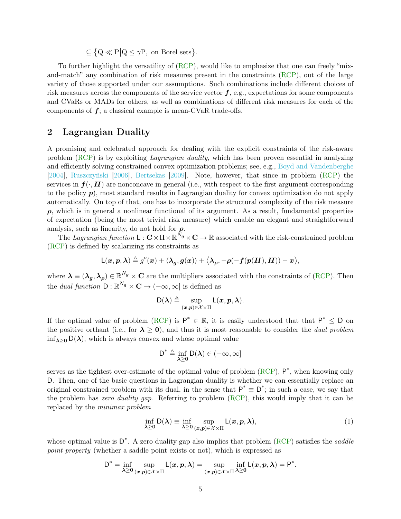$\subseteq \{Q \ll P | Q \le \gamma P, \text{ on Borel sets}\}.$ 

To further highlight the versatility of [\(RCP\)](#page-0-0), would like to emphasize that one can freely "mixand-match" any combination of risk measures present in the constraints [\(RCP\)](#page-0-0), out of the large variety of those supported under our assumptions. Such combinations include different choices of risk measures across the components of the service vector  $f$ , e.g., expectations for some components and CVaRs or MADs for others, as well as combinations of different risk measures for each of the components of  $f$ ; a classical example is mean-CVaR trade-offs.

### 2 Lagrangian Duality

A promising and celebrated approach for dealing with the explicit constraints of the risk-aware problem [\(RCP\)](#page-0-0) is by exploiting Lagrangian duality, which has been proven essential in analyzing and efficiently solving constrained convex optimization problems; see, e.g., [Boyd and Vandenberghe](#page-15-5) [\[2004\]](#page-15-5), [Ruszczyński](#page-15-6) [\[2006\]](#page-15-6), [Bertsekas](#page-15-7) [\[2009\]](#page-15-7). Note, however, that since in problem [\(RCP\)](#page-0-0) the services in  $f(\cdot, H)$  are nonconcave in general (i.e., with respect to the first argument corresponding to the policy  $p$ ), most standard results in Lagrangian duality for convex optimization do not apply automatically. On top of that, one has to incorporate the structural complexity of the risk measure  $\rho$ , which is in general a nonlinear functional of its argument. As a result, fundamental properties of expectation (being the most trivial risk measure) which enable an elegant and straightforward analysis, such as linearity, do not hold for  $\rho$ .

The Lagrangian function  $\mathsf{L}: \mathbf{C} \times \Pi \times \mathbb{R}^{\dot{N}_{\boldsymbol{g}}} \times \mathbf{C} \to \mathbb{R}$  associated with the risk-constrained problem [\(RCP\)](#page-0-0) is defined by scalarizing its constraints as

$$
\mathsf L(\boldsymbol x, \boldsymbol p, \boldsymbol \lambda) \triangleq g^o(\boldsymbol x) + \langle \boldsymbol \lambda_{\boldsymbol g}, \boldsymbol g(\boldsymbol x)\rangle + \big\langle \boldsymbol \lambda_{\boldsymbol \rho}, -\boldsymbol \rho(-\boldsymbol f(\boldsymbol p(\boldsymbol H), \boldsymbol H)) - \boldsymbol x \big\rangle,
$$

where  $\lambda \equiv (\lambda_g, \lambda_\rho) \in \mathbb{R}^{N_g} \times \mathbb{C}$  are the multipliers associated with the constraints of [\(RCP\)](#page-0-0). Then the *dual function*  $D : \mathbb{R}^{N_g} \times \mathbb{C} \to (-\infty, \infty]$  is defined as

$$
\mathsf{D}(\boldsymbol{\lambda}) \triangleq \sup_{(\boldsymbol{x},\boldsymbol{p})\in\mathcal{X}\times\Pi} \mathsf{L}(\boldsymbol{x},\boldsymbol{p},\boldsymbol{\lambda}).
$$

If the optimal value of problem [\(RCP\)](#page-0-0) is  $P^* \in \mathbb{R}$ , it is easily understood that that  $P^* \leq D$  on the positive orthant (i.e., for  $\lambda \geq 0$ ), and thus it is most reasonable to consider the *dual problem*  $\inf_{\lambda>0} D(\lambda)$ , which is always convex and whose optimal value

$$
D^* \triangleq \inf_{\boldsymbol{\lambda} \geq 0} D(\boldsymbol{\lambda}) \in (-\infty, \infty]
$$

serves as the tightest over-estimate of the optimal value of problem  $(RCP)$ ,  $P^*$ , when knowing only D. Then, one of the basic questions in Lagrangian duality is whether we can essentially replace an original constrained problem with its dual, in the sense that  $P^* \equiv D^*$ ; in such a case, we say that the problem has zero duality gap. Referring to problem  $(RCP)$ , this would imply that it can be replaced by the minimax problem

$$
\inf_{\lambda \ge 0} \mathsf{D}(\lambda) \equiv \inf_{\lambda \ge 0} \sup_{(x,p) \in \mathcal{X} \times \Pi} \mathsf{L}(x, p, \lambda),\tag{1}
$$

whose optimal value is  $D^*$ . A zero duality gap also implies that problem [\(RCP\)](#page-0-0) satisfies the *saddle* point property (whether a saddle point exists or not), which is expressed as

$$
D^* = \inf_{\lambda \geq 0} \sup_{(x,p) \in \mathcal{X} \times \Pi} L(x,p,\lambda) = \sup_{(x,p) \in \mathcal{X} \times \Pi} \inf_{\lambda \geq 0} L(x,p,\lambda) = P^*.
$$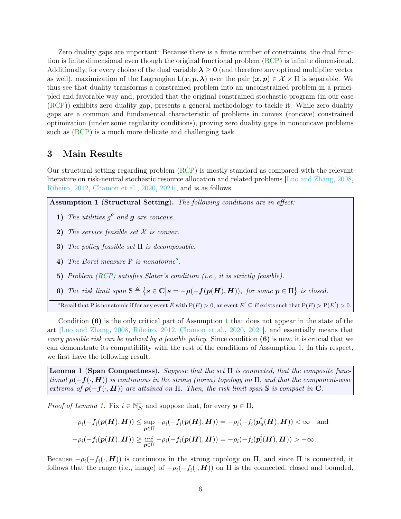Zero duality gaps are important: Because there is a finite number of constraints, the dual function is finite dimensional even though the original functional problem [\(RCP\)](#page-0-0) is infinite dimensional. Additionally, for every choice of the dual variable  $\lambda \geq 0$  (and therefore any optimal multiplier vector as well), maximization of the Lagrangian  $L(x, p, \lambda)$  over the pair  $(x, p) \in \mathcal{X} \times \Pi$  is separable. We thus see that duality transforms a constrained problem into an unconstrained problem in a principled and favorable way and, provided that the original constrained stochastic program (in our case [\(RCP\)](#page-0-0)) exhibits zero duality gap, presents a general methodology to tackle it. While zero duality gaps are a common and fundamental characteristic of problems in convex (concave) constrained optimization (under some regularity conditions), proving zero duality gaps in nonconcave problems such as [\(RCP\)](#page-0-0) is a much more delicate and challenging task.

### 3 Main Results

Our structural setting regarding problem [\(RCP\)](#page-0-0) is mostly standard as compared with the relevant literature on risk-neutral stochastic resource allocation and related problems [\[Luo and Zhang,](#page-15-8) [2008,](#page-15-8) [Ribeiro,](#page-15-9) [2012,](#page-15-9) [Chamon et al.,](#page-15-10) [2020,](#page-15-10) [2021\]](#page-15-11), and is as follows.

<span id="page-5-1"></span>Assumption 1 (Structural Setting). The following conditions are in effect:

- 1) The utilities  $g^o$  and  $g$  are concave.
- 2) The service feasible set  $X$  is convex.
- 3) The policy feasible set  $\Pi$  is decomposable.
- 4) The Borel me[a](#page-5-0)sure  $P$  is nonatomic<sup>a</sup>.
- 5) Problem [\(RCP\)](#page-0-0) satisfies Slater's condition (i.e., it is strictly feasible).
- 6) The risk limit span  $S \triangleq \{ s \in \mathbf{C} | s = -\rho(-f(p(\mathbf{H}), \mathbf{H})) \}$ , for some  $p \in \Pi \}$  is closed.

<span id="page-5-0"></span><sup>a</sup>Recall that P is nonatomic if for any event E with  $P(E) > 0$ , an event  $E' \subseteq E$  exists such that  $P(E) > P(E') > 0$ .

Condition  $(6)$  is the only critical part of Assumption [1](#page-5-1) that does not appear in the state of the art [\[Luo and Zhang,](#page-15-8) [2008,](#page-15-8) [Ribeiro,](#page-15-9) [2012,](#page-15-9) [Chamon et al.,](#page-15-10) [2020,](#page-15-10) [2021\]](#page-15-11), and essentially means that every possible risk can be realized by a feasible policy. Since condition  $(6)$  is new, it is crucial that we can demonstrate its compatibility with the rest of the conditions of Assumption [1.](#page-5-1) In this respect, we first have the following result.

<span id="page-5-2"></span>**Lemma 1 (Span Compactness).** Suppose that the set  $\Pi$  is connected, that the composite functional  $\rho(-f(\cdot, H))$  is continuous in the strong (norm) topology on  $\Pi$ , and that the component-wise extrema of  $\rho(-f(\cdot, H))$  are attained on  $\Pi$ . Then, the risk limit span S is compact in C.

*Proof of Lemma 1*. Fix  $i \in \mathbb{N}_{N}^{+}$  and suppose that, for every  $p \in \Pi$ ,

$$
-\rho_i(-f_i(\mathbf{p}(\mathbf{H}), \mathbf{H})) \le \sup_{\mathbf{p} \in \Pi} -\rho_i(-f_i(\mathbf{p}(\mathbf{H}), \mathbf{H})) = -\rho_i(-f_i(\mathbf{p}_u^i(\mathbf{H}), \mathbf{H})) < \infty \text{ and}
$$
  

$$
-\rho_i(-f_i(\mathbf{p}(\mathbf{H}), \mathbf{H})) \ge \inf_{\mathbf{p} \in \Pi} -\rho_i(-f_i(\mathbf{p}(\mathbf{H}), \mathbf{H})) = -\rho_i(-f_i(\mathbf{p}_i^i(\mathbf{H}), \mathbf{H})) > -\infty.
$$

Because  $-\rho_i(-f_i(\cdot, \boldsymbol{H}))$  is continuous in the strong topology on  $\Pi$ , and since  $\Pi$  is connected, it follows that the range (i.e., image) of  $-\rho_i(-f_i(\cdot, \boldsymbol{H}))$  on  $\Pi$  is the connected, closed and bounded,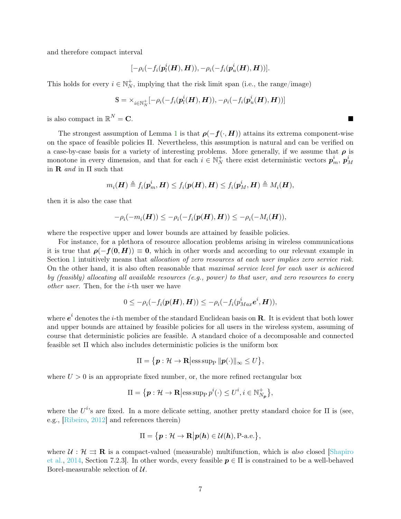and therefore compact interval

$$
[-\rho_i(-f_i(\boldsymbol{p}_l^i(\boldsymbol{H}),\boldsymbol{H})),-\rho_i(-f_i(\boldsymbol{p}_u^i(\boldsymbol{H}),\boldsymbol{H}))].
$$

This holds for every  $i \in \mathbb{N}_N^+$ , implying that the risk limit span (i.e., the range/image)

$$
\mathbb{S} = \times_{i \in \mathbb{N}_N^+} [-\rho_i(-f_i(\boldsymbol{p}_l^i(\boldsymbol{H}), \boldsymbol{H})), -\rho_i(-f_i(\boldsymbol{p}_u^i(\boldsymbol{H}), \boldsymbol{H}))]
$$

is also compact in  $\mathbb{R}^N = \mathbf{C}$ .  $N = \mathbf{C}$ .

The strongest assumption of Lemma [1](#page-5-2) is that  $\rho(-f(\cdot, H))$  attains its extrema component-wise on the space of feasible policies Π. Nevertheless, this assumption is natural and can be verified on a case-by-case basis for a variety of interesting problems. More generally, if we assume that  $\rho$  is monotone in every dimension, and that for each  $i \in \mathbb{N}_{N}^{+}$  there exist deterministic vectors  $p_{m}^{i}$ ,  $p_{M}^{i}$ in  **and in**  $\Pi$  **such that** 

$$
m_i(\boldsymbol{H}) \triangleq f_i(\boldsymbol{p}_m^i,\boldsymbol{H}) \leq f_i(\boldsymbol{p}(\boldsymbol{H}),\boldsymbol{H}) \leq f_i(\boldsymbol{p}_M^i,\boldsymbol{H}) \triangleq M_i(\boldsymbol{H}),
$$

then it is also the case that

$$
-\rho_i(-m_i(\boldsymbol{H})) \leq -\rho_i(-f_i(\boldsymbol{p}(\boldsymbol{H}),\boldsymbol{H})) \leq -\rho_i(-M_i(\boldsymbol{H})),
$$

where the respective upper and lower bounds are attained by feasible policies.

For instance, for a plethora of resource allocation problems arising in wireless communications it is true that  $\rho(-f(0, H)) \equiv 0$ , which in other words and according to our relevant example in Section [1](#page-0-1) intuitively means that allocation of zero resources at each user implies zero service risk. On the other hand, it is also often reasonable that maximal service level for each user is achieved by (feasibly) allocating all available resources (e.g., power) to that user, and zero resources to every other user. Then, for the i-th user we have

$$
0\leq -\rho_i(-f_i(\boldsymbol{p}(\boldsymbol{H}),\boldsymbol{H}))\leq -\rho_i(-f_i(p^i_{Max}\boldsymbol{e}^i,\boldsymbol{H})),
$$

where  $e^i$  denotes the *i*-th member of the standard Euclidean basis on  $\bf R$ . It is evident that both lower and upper bounds are attained by feasible policies for all users in the wireless system, assuming of course that deterministic policies are feasible. A standard choice of a decomposable and connected feasible set Π which also includes deterministic policies is the uniform box

$$
\Pi = \{ \boldsymbol{p} : \mathcal{H} \to \mathbf{R} \big| \mathrm{ess} \sup_{\mathbf{P}} \| \boldsymbol{p}(\cdot) \|_{\infty} \leq U \},\
$$

where  $U > 0$  is an appropriate fixed number, or, the more refined rectangular box

$$
\Pi = \{ \mathbf{p} : \mathcal{H} \to \mathbf{R} \big| \mathrm{ess} \operatorname{supp} p^i(\cdot) \leq U^i, i \in \mathbb{N}_{N_{\mathbf{p}}}^+ \},\
$$

where the  $U^{i}$ 's are fixed. In a more delicate setting, another pretty standard choice for  $\Pi$  is (see, e.g., [\[Ribeiro,](#page-15-9) [2012\]](#page-15-9) and references therein)

$$
\Pi = \{ \boldsymbol{p} : \mathcal{H} \to \mathbf{R} \big| \boldsymbol{p}(\boldsymbol{h}) \in \mathcal{U}(\boldsymbol{h}), \text{P-a.e.} \},
$$

where  $\mathcal{U}: \mathcal{H} \implies \mathbf{R}$  is a compact-valued (measurable) multifunction, which is also closed [\[Shapiro](#page-15-1)] [et al.,](#page-15-1) [2014,](#page-15-1) Section 7.2.3]. In other words, every feasible  $p \in \Pi$  is constrained to be a well-behaved Borel-measurable selection of  $\mathcal{U}$ .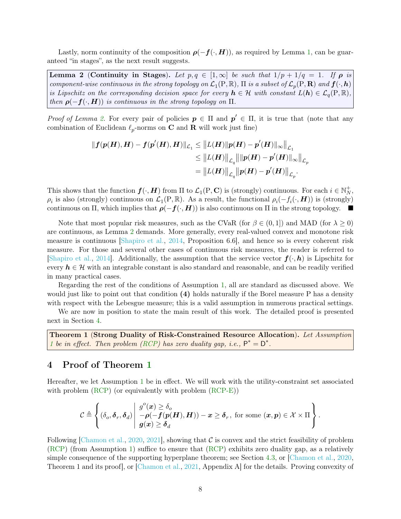Lastly, norm continuity of the composition  $\rho(-f(\cdot, H))$ , as required by Lemma [1,](#page-5-2) can be guaranteed "in stages", as the next result suggests.

<span id="page-7-0"></span>Lemma 2 (Continuity in Stages). Let  $p, q \in [1, \infty]$  be such that  $1/p + 1/q = 1$ . If  $\rho$  is component-wise continuous in the strong topology on  $\mathcal{L}_1(P,\mathbb{R})$ ,  $\Pi$  is a subset of  $\mathcal{L}_p(P,\mathbf{R})$  and  $\bm{f}(\cdot,\bm{h})$ is Lipschitz on the corresponding decision space for every  $h \in \mathcal{H}$  with constant  $L(h) \in \mathcal{L}_q(P, \mathbb{R})$ , then  $\rho(-f(\cdot, H))$  is continuous in the strong topology on  $\Pi$ .

Proof of Lemma [2.](#page-7-0) For every pair of policies  $p \in \Pi$  and  $p' \in \Pi$ , it is true that (note that any combination of Euclidean  $\ell_p$ -norms on **C** and **R** will work just fine)

$$
\begin{aligned} \|f(p(H),H)-f(p'(H),H)\|_{\mathcal{L}_1} &\leq \|L(H)\|p(H)-p'(H)\|_{\infty}\|_{\mathcal{L}_1}\\ &\leq \|L(H)\|_{\mathcal{L}_q}\|\|p(H)-p'(H)\|_{\infty}\|_{\mathcal{L}_p}\\ &=\big\|L(H)\big\|_{\mathcal{L}_q}\big\|p(H)-p'(H)\big\|_{\mathcal{L}_p}. \end{aligned}
$$

This shows that the function  $f(\cdot, H)$  from  $\Pi$  to  $\mathcal{L}_1(P, \mathbf{C})$  is (strongly) continuous. For each  $i \in \mathbb{N}_N^+$ ,  $\rho_i$  is also (strongly) continuous on  $\mathcal{L}_1(P,\mathbb{R})$ . As a result, the functional  $\rho_i(-f_i(\cdot,\boldsymbol{H}))$  is (strongly) continuous on Π, which implies that  $\rho(-f(\cdot, H))$  is also continuous on Π in the strong topology.  $\blacksquare$ 

Note that most popular risk measures, such as the CVaR (for  $\beta \in (0,1]$ ) and MAD (for  $\lambda \geq 0$ ) are continuous, as Lemma [2](#page-7-0) demands. More generally, every real-valued convex and monotone risk measure is continuous [\[Shapiro et al.,](#page-15-1) [2014,](#page-15-1) Proposition 6.6], and hence so is every coherent risk measure. For those and several other cases of continuous risk measures, the reader is referred to [\[Shapiro et al.,](#page-15-1) [2014\]](#page-15-1). Additionally, the assumption that the service vector  $f(\cdot, h)$  is Lipschitz for every  $h \in \mathcal{H}$  with an integrable constant is also standard and reasonable, and can be readily verified in many practical cases.

Regarding the rest of the conditions of Assumption [1,](#page-5-1) all are standard as discussed above. We would just like to point out that condition (4) holds naturally if the Borel measure P has a density with respect with the Lebesgue measure; this is a valid assumption in numerous practical settings.

We are now in position to state the main result of this work. The detailed proof is presented next in Section [4.](#page-7-1)

<span id="page-7-2"></span>Theorem 1 (Strong Duality of Risk-Constrained Resource Allocation). Let Assumption [1](#page-5-1) be in effect. Then problem [\(RCP\)](#page-0-0) has zero duality gap, i.e.,  $P^* = D^*$ .

## <span id="page-7-1"></span>4 Proof of Theorem [1](#page-7-2)

Hereafter, we let Assumption [1](#page-5-1) be in effect. We will work with the utility-constraint set associated with problem [\(RCP\)](#page-0-0) (or equivalently with problem [\(RCP-E\)](#page-1-0))

$$
\mathcal{C} \triangleq \left\{ (\delta_o, \delta_r, \delta_d) \middle| \begin{array}{l} g^o(\boldsymbol{x}) \geq \delta_o \\ -\rho(-f(\boldsymbol{p(H)}, \boldsymbol{H})) - \boldsymbol{x} \geq \delta_r, \text{ for some } (\boldsymbol{x}, \boldsymbol{p}) \in \mathcal{X} \times \Pi \\ g(\boldsymbol{x}) \geq \delta_d \end{array} \right\}.
$$

Following [\[Chamon et al.,](#page-15-10) [2020,](#page-15-10) [2021\]](#page-15-11), showing that  $\mathcal C$  is convex and the strict feasibility of problem [\(RCP\)](#page-0-0) (from Assumption [1\)](#page-5-1) suffice to ensure that [\(RCP\)](#page-0-0) exhibits zero duality gap, as a relatively simple consequence of the supporting hyperplane theorem; see Section [4.3,](#page-13-0) or [\[Chamon et al.,](#page-15-10) [2020,](#page-15-10) Theorem 1 and its proof], or [\[Chamon et al.,](#page-15-11) [2021,](#page-15-11) Appendix A] for the details. Proving convexity of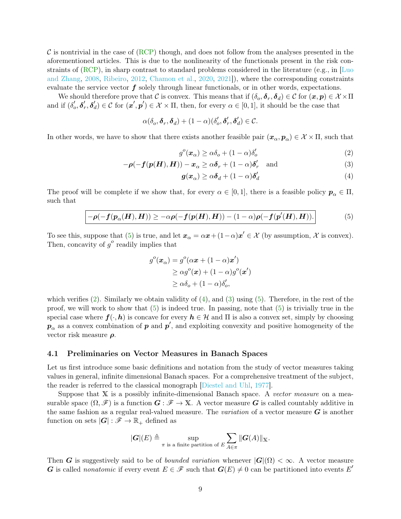$\mathcal C$  is nontrivial in the case of [\(RCP\)](#page-0-0) though, and does not follow from the analyses presented in the aforementioned articles. This is due to the nonlinearity of the functionals present in the risk constraints of [\(RCP\)](#page-0-0), in sharp contrast to standard problems considered in the literature (e.g., in [\[Luo](#page-15-8) [and Zhang,](#page-15-8) [2008,](#page-15-8) [Ribeiro,](#page-15-9) [2012,](#page-15-9) [Chamon et al.,](#page-15-10) [2020,](#page-15-10) [2021\]](#page-15-11)), where the corresponding constraints evaluate the service vector  $f$  solely through linear functionals, or in other words, expectations.

We should therefore prove that C is convex. This means that if  $(\delta_o, \delta_r, \delta_d) \in \mathcal{C}$  for  $(\bm{x}, \bm{p}) \in \mathcal{X} \times \Pi$ and if  $(\delta'_o, \delta'_r, \delta'_d) \in \mathcal{C}$  for  $(\mathbf{x}', \mathbf{p}') \in \mathcal{X} \times \Pi$ , then, for every  $\alpha \in [0, 1]$ , it should be the case that

$$
\alpha(\delta_o, \boldsymbol{\delta}_r, \boldsymbol{\delta}_d) + (1 - \alpha)(\delta'_o, \boldsymbol{\delta}'_r, \boldsymbol{\delta}'_d) \in \mathcal{C}.
$$

In other words, we have to show that there exists another feasible pair  $(x_{\alpha}, p_{\alpha}) \in \mathcal{X} \times \Pi$ , such that

<span id="page-8-3"></span><span id="page-8-1"></span>
$$
g^{o}(\boldsymbol{x}_{\alpha}) \geq \alpha \delta_{o} + (1 - \alpha)\delta'_{o}
$$
\n<sup>(2)</sup>

$$
-\rho(-f(p(H), H)) - x_{\alpha} \ge \alpha \delta_r + (1 - \alpha)\delta'_r \quad \text{and} \tag{3}
$$

<span id="page-8-2"></span>
$$
g(x_{\alpha}) \geq \alpha \delta_d + (1 - \alpha) \delta'_d \tag{4}
$$

The proof will be complete if we show that, for every  $\alpha \in [0,1]$ , there is a feasible policy  $p_{\alpha} \in \Pi$ , such that

<span id="page-8-0"></span>
$$
-\rho(-f(p_{\alpha}(H),H)) \geq -\alpha\rho(-f(p(H),H)) - (1-\alpha)\rho(-f(p'(H),H)).
$$
\n(5)

To see this, suppose that [\(5\)](#page-8-0) is true, and let  $x_{\alpha} = \alpha x + (1 - \alpha)x' \in \mathcal{X}$  (by assumption,  $\mathcal{X}$  is convex). Then, concavity of  $g^o$  readily implies that

$$
g^{o}(\boldsymbol{x}_{\alpha}) = g^{o}(\alpha \boldsymbol{x} + (1 - \alpha)\boldsymbol{x}') \geq \alpha g^{o}(\boldsymbol{x}) + (1 - \alpha)g^{o}(\boldsymbol{x}')
$$

$$
\geq \alpha \delta_{o} + (1 - \alpha)\delta'_{o},
$$

which verifies  $(2)$ . Similarly we obtain validity of  $(4)$ , and  $(3)$  using  $(5)$ . Therefore, in the rest of the proof, we will work to show that  $(5)$  is indeed true. In passing, note that  $(5)$  is trivially true in the special case where  $f(\cdot, h)$  is concave for every  $h \in \mathcal{H}$  and  $\Pi$  is also a convex set, simply by choosing  $p_{\alpha}$  as a convex combination of  $p$  and  $p'$ , and exploiting convexity and positive homogeneity of the vector risk measure  $\rho$ .

#### 4.1 Preliminaries on Vector Measures in Banach Spaces

Let us first introduce some basic definitions and notation from the study of vector measures taking values in general, infinite dimensional Banach spaces. For a comprehensive treatment of the subject, the reader is referred to the classical monograph [\[Diestel and Uhl,](#page-15-0) [1977\]](#page-15-0).

Suppose that X is a possibly infinite-dimensional Banach space. A vector measure on a measurable space  $(\Omega, \mathscr{F})$  is a function  $G : \mathscr{F} \to X$ . A vector measure G is called countably additive in the same fashion as a regular real-valued measure. The *variation* of a vector measure  $G$  is another function on sets  $|G| : \mathscr{F} \to \mathbb{R}_+$  defined as

$$
|\boldsymbol{G}|(E) \triangleq \sup_{\pi \text{ is a finite partition of } E} \sum_{A \in \pi} ||\boldsymbol{G}(A)||_{\mathbb{X}}.
$$

Then G is suggestively said to be of *bounded variation* whenever  $|G|(\Omega) < \infty$ . A vector measure G is called *nonatomic* if every event  $E \in \mathscr{F}$  such that  $G(E) \neq 0$  can be partitioned into events E'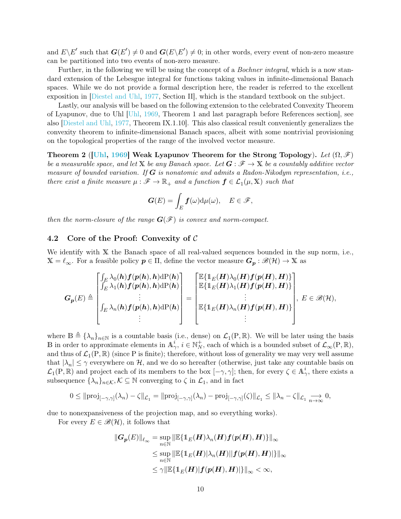and  $E\backslash E'$  such that  $G(E')\neq 0$  and  $G(E\backslash E')\neq 0$ ; in other words, every event of non-zero measure can be partitioned into two events of non-zero measure.

Further, in the following we will be using the concept of a *Bochner integral*, which is a now standard extension of the Lebesgue integral for functions taking values in infinite-dimensional Banach spaces. While we do not provide a formal description here, the reader is referred to the excellent exposition in [\[Diestel and Uhl,](#page-15-0) [1977,](#page-15-0) Section II], which is the standard textbook on the subject.

Lastly, our analysis will be based on the following extension to the celebrated Convexity Theorem of Lyapunov, due to Uhl [\[Uhl,](#page-15-12) [1969,](#page-15-12) Theorem 1 and last paragraph before References section], see also [\[Diestel and Uhl,](#page-15-0) [1977,](#page-15-0) Theorem IX.1.10]. This also classical result conveniently generalizes the convexity theorem to infinite-dimensional Banach spaces, albeit with some nontrivial provisioning on the topological properties of the range of the involved vector measure.

<span id="page-9-0"></span>Theorem 2 ([\[Uhl,](#page-15-12) [1969\]](#page-15-12) Weak Lyapunov Theorem for the Strong Topology). Let  $(\Omega, \mathscr{F})$ be a measurable space, and let X be any Banach space. Let  $G : \mathscr{F} \to X$  be a countably additive vector measure of bounded variation. If  $G$  is nonatomic and admits a Radon-Nikodym representation, i.e., there exist a finite measure  $\mu : \mathscr{F} \to \mathbb{R}_+$  and a function  $\mathbf{f} \in \mathcal{L}_1(\mu, \mathbb{X})$  such that

$$
\boldsymbol{G}(E)=\int_E \boldsymbol{f}(\omega) \mathrm{d}\mu(\omega), \quad E\in\mathscr{F},
$$

then the norm-closure of the range  $G(\mathcal{F})$  is convex and norm-compact.

### 4.2 Core of the Proof: Convexity of C

We identify with X the Banach space of all real-valued sequences bounded in the sup norm, i.e.,  $X = \ell_{\infty}$ . For a feasible policy  $p \in \Pi$ , define the vector measure  $G_p : \mathscr{B}(\mathcal{H}) \to X$  as

$$
G_p(E) \triangleq \begin{bmatrix} \int_E \lambda_0(h) f(p(h), h) dP(h) \\ \int_E \lambda_1(h) f(p(h), h) dP(h) \\ \vdots \\ \int_E \lambda_n(h) f(p(h), h) dP(h) \\ \vdots \end{bmatrix} = \begin{bmatrix} \mathbb{E}\{1_E(H)\lambda_0(H)f(p(H), H)\} \\ \mathbb{E}\{1_E(H)\lambda_1(H)f(p(H), H)\} \\ \vdots \\ \mathbb{E}\{1_E(H)\lambda_n(H)f(p(H), H)\} \end{bmatrix}, E \in \mathcal{B}(\mathcal{H}),
$$

where  $\mathbb{B} \triangleq {\lambda_n}_{n \in \mathbb{N}}$  is a countable basis (i.e., dense) on  $\mathcal{L}_1(\mathbb{P}, \mathbb{R})$ . We will be later using the basis B in order to approximate elements in  $\mathbb{A}_{\gamma}^i$ ,  $i \in \mathbb{N}_N^+$ , each of which is a bounded subset of  $\mathcal{L}_{\infty}(\mathbb{P}, \mathbb{R})$ , and thus of  $\mathcal{L}_1(P,\mathbb{R})$  (since P is finite); therefore, without loss of generality we may very well assume that  $|\lambda_n| \leq \gamma$  everywhere on H, and we do so hereafter (otherwise, just take any countable basis on  $\mathcal{L}_1(P,\mathbb{R})$  and project each of its members to the box  $[-\gamma,\gamma]$ ; then, for every  $\zeta \in \mathbb{A}^i_\gamma$ , there exists a subsequence  $\{\lambda_n\}_{n\in\mathcal{K}}, \mathcal{K} \subseteq \mathbb{N}$  converging to  $\zeta$  in  $\mathcal{L}_1$ , and in fact

$$
0 \leq ||\text{proj}_{[-\gamma,\gamma]}(\lambda_n) - \zeta||_{\mathcal{L}_1} = ||\text{proj}_{[-\gamma,\gamma]}(\lambda_n) - \text{proj}_{[-\gamma,\gamma]}(\zeta)||_{\mathcal{L}_1} \leq ||\lambda_n - \zeta||_{\mathcal{L}_1} \underset{n \to \infty}{\longrightarrow} 0,
$$

due to nonexpansiveness of the projection map, and so everything works).

For every  $E \in \mathscr{B}(\mathcal{H})$ , it follows that

$$
\begin{aligned} ||G_p(E)||_{\ell_\infty}&=\sup_{n\in\mathbb{N}}\Vert\mathbb{E}\{\mathbb{1}_E(H)\lambda_n(H)f(p(H),H)\}\Vert_\infty\\ &\leq \sup_{n\in\mathbb{N}}\Vert\mathbb{E}\{\mathbb{1}_E(H)|\lambda_n(H)||f(p(H),H)|\}\Vert_\infty\\ &\leq \gamma\Vert\mathbb{E}\{\mathbb{1}_E(H)|f(p(H),H)|\}\Vert_\infty<\infty,\end{aligned}
$$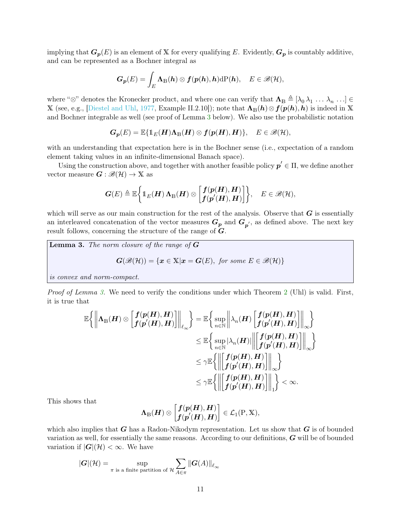implying that  $G_p(E)$  is an element of X for every qualifying E. Evidently,  $G_p$  is countably additive, and can be represented as a Bochner integral as

$$
\boldsymbol{G}_{\boldsymbol{p}}(E)=\int_E \boldsymbol{\Lambda}_{\text{B}}(\boldsymbol{h})\otimes \boldsymbol{f}(\boldsymbol{p}(\boldsymbol{h}),\boldsymbol{h})\mathrm{d}\mathrm{P}(\boldsymbol{h}),\quad E\in\mathscr{B}(\mathcal{H}),
$$

where " $\otimes$ " denotes the Kronecker product, and where one can verify that  $\mathbf{\Lambda}_{\mathbb{B}} \triangleq [\lambda_0 \lambda_1 \ldots \lambda_n \ldots] \in$ X (see, e.g., [\[Diestel and Uhl,](#page-15-0) [1977,](#page-15-0) Example II.2.10]); note that  $\Lambda_{\mathbb{B}}(h)\otimes f(p(h), h)$  is indeed in X and Bochner integrable as well (see proof of Lemma [3](#page-10-0) below). We also use the probabilistic notation

$$
G_p(E) = \mathbb{E}\{\mathbb{1}_E(H)\Lambda_{\mathbb{B}}(H)\otimes f(p(H),H)\},\quad E\in\mathscr{B}(\mathcal{H}),
$$

with an understanding that expectation here is in the Bochner sense (i.e., expectation of a random element taking values in an infinite-dimensional Banach space).

Using the construction above, and together with another feasible policy  $p' \in \Pi$ , we define another vector measure  $G : \mathscr{B}(\mathcal{H}) \to \mathbb{X}$  as

$$
\boldsymbol{G}(E) \triangleq \mathbb{E}\bigg\{\boldsymbol{1}_E(\boldsymbol{H})\,\boldsymbol{\Lambda}_{\text{B}}(\boldsymbol{H}) \otimes \bigg[\begin{matrix} \boldsymbol{f}(\boldsymbol{p}(\boldsymbol{H}),\boldsymbol{H}) \\ \boldsymbol{f}(\boldsymbol{p}'(\boldsymbol{H}),\boldsymbol{H}) \end{matrix} \bigg]\bigg\}, \quad E \in \mathscr{B}(\mathcal{H}),
$$

which will serve as our main construction for the rest of the analysis. Observe that  $G$  is essentially an interleaved concatenation of the vector measures  $G_p$  and  $G_{p'}$ , as defined above. The next key result follows, concerning the structure of the range of G.

<span id="page-10-0"></span>**Lemma 3.** The norm closure of the range of  $G$  $G(\mathscr{B}(\mathcal{H})) = \{x \in \mathbb{X} | x = G(E), \text{ for some } E \in \mathscr{B}(\mathcal{H})\}$ is convex and norm-compact.

Proof of Lemma [3.](#page-10-0) We need to verify the conditions under which Theorem [2](#page-9-0) (Uhl) is valid. First, it is true that

$$
\mathbb{E}\left\{\left\|\Lambda_{\mathbb{B}}(\boldsymbol{H})\otimes\begin{bmatrix}f(\boldsymbol{p}(\boldsymbol{H}),\boldsymbol{H})\\f(\boldsymbol{p}'(\boldsymbol{H}),\boldsymbol{H})\end{bmatrix}\right\|_{\ell_{\infty}}\right\}=\mathbb{E}\left\{\sup_{n\in\mathbb{N}}\left\|\lambda_{n}(\boldsymbol{H})\begin{bmatrix}f(\boldsymbol{p}(\boldsymbol{H}),\boldsymbol{H})\\f(\boldsymbol{p}'(\boldsymbol{H}),\boldsymbol{H})\end{bmatrix}\right\|_{\infty}\right\}\\ \leq\mathbb{E}\left\{\sup_{n\in\mathbb{N}}|\lambda_{n}(\boldsymbol{H})|\left\|\begin{bmatrix}f(\boldsymbol{p}(\boldsymbol{H}),\boldsymbol{H})\\f(\boldsymbol{p}'(\boldsymbol{H}),\boldsymbol{H})\end{bmatrix}\right\|_{\infty}\right\}\\ \leq\gamma\mathbb{E}\left\{\left\|\begin{bmatrix}f(\boldsymbol{p}(\boldsymbol{H}),\boldsymbol{H})\\f(\boldsymbol{p}'(\boldsymbol{H}),\boldsymbol{H})\end{bmatrix}\right\|_{\infty}\right\}\\ \leq\gamma\mathbb{E}\left\{\left\|\begin{bmatrix}f(\boldsymbol{p}(\boldsymbol{H}),\boldsymbol{H})\\f(\boldsymbol{p}'(\boldsymbol{H}),\boldsymbol{H})\end{bmatrix}\right\|_{1}\right\}<\infty.
$$

This shows that

$$
\boldsymbol{\Lambda}_{\mathbb{B}}(\boldsymbol{H})\otimes \begin{bmatrix} \boldsymbol{f}(\boldsymbol{p}(\boldsymbol{H}),\boldsymbol{H}) \\ \boldsymbol{f}(\boldsymbol{p}'(\boldsymbol{H}),\boldsymbol{H}) \end{bmatrix}\in \mathcal{L}_1(\mathrm{P},\mathbb{X}),
$$

which also implies that  $G$  has a Radon-Nikodym representation. Let us show that  $G$  is of bounded variation as well, for essentially the same reasons. According to our definitions, G will be of bounded variation if  $|G|(\mathcal{H}) < \infty$ . We have

$$
|\boldsymbol{G}|(\mathcal{H}) = \sup_{\pi \text{ is a finite partition of } \mathcal{H}} \sum_{A \in \pi} ||\boldsymbol{G}(A)||_{\ell_{\infty}}
$$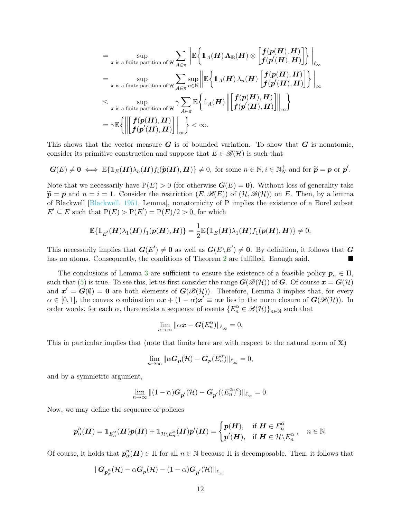$$
= \sup_{\pi \text{ is a finite partition of } \mathcal{H}} \sum_{A \in \pi} \left\| \mathbb{E} \left\{ 1_A(H) \Lambda_{\mathbb{B}}(H) \otimes \left[ \frac{f(p(H), H)}{f(p'(H), H)} \right] \right\} \right\|_{\ell_{\infty}}
$$
  
\n
$$
= \sup_{\pi \text{ is a finite partition of } \mathcal{H}} \sum_{A \in \pi} \sup_{n \in \mathbb{N}} \left\| \mathbb{E} \left\{ 1_A(H) \lambda_n(H) \left[ \frac{f(p(H), H)}{f(p'(H), H)} \right] \right\} \right\|_{\infty}
$$
  
\n
$$
\leq \sup_{\pi \text{ is a finite partition of } \mathcal{H}} \gamma \sum_{A \in \pi} \mathbb{E} \left\{ 1_A(H) \left\| \left[ \frac{f(p(H), H)}{f(p'(H), H)} \right] \right\|_{\infty} \right\}
$$
  
\n
$$
= \gamma \mathbb{E} \left\{ \left\| \left[ \frac{f(p(H), H)}{f(p'(H), H)} \right] \right\|_{\infty} \right\} < \infty.
$$

This shows that the vector measure  $G$  is of bounded variation. To show that  $G$  is nonatomic, consider its primitive construction and suppose that  $E \in \mathcal{B}(\mathcal{H})$  is such that

$$
G(E) \neq 0 \iff \mathbb{E}\{\mathbb{1}_E(H)\lambda_n(H)f_i(\widetilde{p}(H),H)\} \neq 0, \text{ for some } n \in \mathbb{N}, i \in \mathbb{N}_N^+ \text{ and for } \widetilde{p} = p \text{ or } p'.
$$

Note that we necessarily have  $P(E) > 0$  (for otherwise  $G(E) = 0$ ). Without loss of generality take  $\widetilde{\mathbf{p}} = \mathbf{p}$  and  $n = i = 1$ . Consider the restriction  $(E, \mathscr{B}(E))$  of  $(\mathcal{H}, \mathscr{B}(\mathcal{H}))$  on E. Then, by a lemma of Blackwell [\[Blackwell,](#page-15-13) [1951,](#page-15-13) Lemma], nonatomicity of P implies the existence of a Borel subset  $E' \subseteq E$  such that  $P(E) > P(E') = P(E)/2 > 0$ , for which

$$
\mathbb{E}\{\mathbb{1}_{E'}(\boldsymbol{H})\lambda_1(\boldsymbol{H})f_1(\boldsymbol{p}(\boldsymbol{H}),\boldsymbol{H})\}=\frac{1}{2}\mathbb{E}\{\mathbb{1}_{E}(\boldsymbol{H})\lambda_1(\boldsymbol{H})f_1(\boldsymbol{p}(\boldsymbol{H}),\boldsymbol{H})\}\neq 0.
$$

This necessarily implies that  $G(E') \neq 0$  as well as  $G(E \backslash E') \neq 0$ . By definition, it follows that G has no atoms. Consequently, the conditions of Theorem [2](#page-9-0) are fulfilled. Enough said.

The conclusions of Lemma [3](#page-10-0) are sufficient to ensure the existence of a feasible policy  $p_{\alpha} \in \Pi$ , such that [\(5\)](#page-8-0) is true. To see this, let us first consider the range  $G(\mathscr{B}(\mathcal{H}))$  of G. Of course  $x = G(\mathcal{H})$ and  $x' = G(\emptyset) = 0$  are both elements of  $G(\mathcal{B}(\mathcal{H}))$ . Therefore, Lemma [3](#page-10-0) implies that, for every  $\alpha \in [0,1],$  the convex combination  $\alpha x + (1 - \alpha)x' \equiv \alpha x$  lies in the norm closure of  $\mathbf{G}(\mathscr{B}(\mathcal{H}))$ . In order words, for each  $\alpha$ , there exists a sequence of events  $\{E_n^{\alpha} \in \mathscr{B}(\mathcal{H})\}_{n\in\mathbb{N}}$  such that

$$
\lim_{n\to\infty} \|\alpha \mathbf{x} - \mathbf{G}(E_n^{\alpha})\|_{\ell_{\infty}} = 0.
$$

This in particular implies that (note that limits here are with respect to the natural norm of X)

$$
\lim_{n\to\infty} \|\alpha G_{p}(\mathcal{H}) - G_{p}(E_{n}^{\alpha})\|_{\ell_{\infty}} = 0,
$$

and by a symmetric argument,

$$
\lim_{n\to\infty}\|(1-\alpha)\boldsymbol{G}_{\boldsymbol{p}'}(\mathcal{H})-\boldsymbol{G}_{\boldsymbol{p}'}((E_{n}^{\alpha})^{c})\|_{\ell_{\infty}}=0.
$$

Now, we may define the sequence of policies

$$
p^n_\alpha(H) = 1_{E_n^\alpha}(H)p(H) + 1_{\mathcal{H} \setminus E_n^\alpha}(H)p'(H) = \begin{cases} p(H), & \text{if } H \in E_n^\alpha \\ p'(H), & \text{if } H \in \mathcal{H} \setminus E_n^\alpha \end{cases}, n \in \mathbb{N}.
$$

Of course, it holds that  $p_{\alpha}^{n}(H) \in \Pi$  for all  $n \in \mathbb{N}$  because  $\Pi$  is decomposable. Then, it follows that

$$
\|\boldsymbol{G}_{\boldsymbol{p}_{\alpha}^{n}}(\mathcal{H})-\alpha\boldsymbol{G}_{\boldsymbol{p}}(\mathcal{H})-(1-\alpha)\boldsymbol{G}_{\boldsymbol{p}'}(\mathcal{H})\|_{\ell_{\infty}}
$$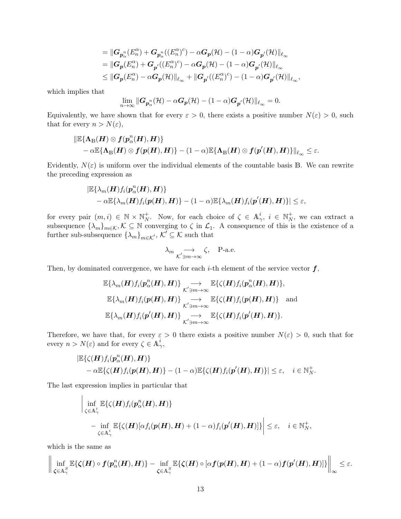$$
\begin{aligned}&=\|{\boldsymbol G}_{{\boldsymbol p}_\alpha^n}(E_n^\alpha)+{\boldsymbol G}_{{\boldsymbol p}_\alpha^n}((E_n^\alpha)^c)-\alpha{\boldsymbol G}_{{\boldsymbol p}}({\mathcal H})-(1-\alpha){\boldsymbol G}_{{\boldsymbol p}'}({\mathcal H})\|_{\ell_\infty}\\&=\|{\boldsymbol G}_{{\boldsymbol p}}(E_n^\alpha)+{\boldsymbol G}_{{\boldsymbol p}'}((E_n^\alpha)^c)-\alpha{\boldsymbol G}_{{\boldsymbol p}}({\mathcal H})-(1-\alpha){\boldsymbol G}_{{\boldsymbol p}'}({\mathcal H})\|_{\ell_\infty}\\&\leq \|{\boldsymbol G}_{{\boldsymbol p}}(E_n^\alpha)-\alpha{\boldsymbol G}_{{\boldsymbol p}}({\mathcal H})\|_{\ell_\infty}+\|{\boldsymbol G}_{{\boldsymbol p}'}((E_n^\alpha)^c)-(1-\alpha){\boldsymbol G}_{{\boldsymbol p}'}({\mathcal H})\|_{\ell_\infty},\end{aligned}
$$

which implies that

$$
\lim_{n\to\infty} \|\boldsymbol{G}_{\boldsymbol{p}_{\alpha}^{n}}(\mathcal{H}) - \alpha \boldsymbol{G}_{\boldsymbol{p}}(\mathcal{H}) - (1-\alpha) \boldsymbol{G}_{\boldsymbol{p}'}(\mathcal{H})\|_{\ell_{\infty}} = 0.
$$

Equivalently, we have shown that for every  $\varepsilon > 0$ , there exists a positive number  $N(\varepsilon) > 0$ , such that for every  $n > N(\varepsilon)$ ,

$$
\begin{aligned}&\|\mathbb{E}\{\Lambda_{\mathbb{B}}(\pmb{H})\otimes\pmb{f}(\pmb{p}_{\alpha}^{n}(\pmb{H}),\pmb{H})\}\\&-\alpha\mathbb{E}\{\Lambda_{\mathbb{B}}(\pmb{H})\otimes\pmb{f}(\pmb{p}(\pmb{H}),\pmb{H})\}-(1-\alpha)\mathbb{E}\{\Lambda_{\mathbb{B}}(\pmb{H})\otimes\pmb{f}(\pmb{p}'(\pmb{H}),\pmb{H})\}\|_{\ell_{\infty}}\leq\varepsilon.\end{aligned}
$$

Evidently,  $N(\varepsilon)$  is uniform over the individual elements of the countable basis B. We can rewrite the preceding expression as

$$
\begin{aligned} & \left| \mathbb{E} \{ \lambda_m(\boldsymbol{H}) f_i(\boldsymbol{p}_{\alpha}^n(\boldsymbol{H}), \boldsymbol{H}) \} \right. \\ &\left. - \alpha \mathbb{E} \{ \lambda_m(\boldsymbol{H}) f_i(\boldsymbol{p}(\boldsymbol{H}), \boldsymbol{H}) \} - (1 - \alpha) \mathbb{E} \{ \lambda_m(\boldsymbol{H}) f_i(\boldsymbol{p}'(\boldsymbol{H}), \boldsymbol{H}) \} \right| \leq \varepsilon, \end{aligned}
$$

for every pair  $(m, i) \in \mathbb{N} \times \mathbb{N}_N^+$ . Now, for each choice of  $\zeta \in \mathbb{A}^i_\gamma$ ,  $i \in \mathbb{N}_N^+$ , we can extract a subsequence  $\{\lambda_m\}_{m\in\mathcal{K}}, \mathcal{K} \subseteq \mathbb{N}$  converging to  $\zeta$  in  $\mathcal{L}_1$ . A consequence of this is the existence of a further sub-subsequence  $\{\lambda_m\}_{m\in\mathcal{K}}$ ,  $\mathcal{K}' \subseteq \mathcal{K}$  such that

$$
\lambda_m \underset{\mathcal{K}^\prime \ni m \to \infty}{\longrightarrow} \zeta, \quad \text{$\mathbf{P}$-a.e.}
$$

Then, by dominated convergence, we have for each *i*-th element of the service vector  $f$ ,

$$
\mathbb{E}\{\lambda_m(\boldsymbol{H})f_i(\boldsymbol{p}_{\alpha}^n(\boldsymbol{H}),\boldsymbol{H})\}\n\underset{\mathcal{K}^{\prime}\ni m\rightarrow\infty}{\longrightarrow}\n\mathbb{E}\{\zeta(\boldsymbol{H})f_i(\boldsymbol{p}_{\alpha}^n(\boldsymbol{H}),\boldsymbol{H})\},
$$
\n
$$
\mathbb{E}\{\lambda_m(\boldsymbol{H})f_i(\boldsymbol{p}(\boldsymbol{H}),\boldsymbol{H})\}\n\underset{\mathcal{K}^{\prime}\ni m\rightarrow\infty}{\longrightarrow}\n\mathbb{E}\{\zeta(\boldsymbol{H})f_i(\boldsymbol{p}(\boldsymbol{H}),\boldsymbol{H})\}\n\quad and
$$
\n
$$
\mathbb{E}\{\lambda_m(\boldsymbol{H})f_i(\boldsymbol{p}^{\prime}(\boldsymbol{H}),\boldsymbol{H})\}\n\underset{\mathcal{K}^{\prime}\ni m\rightarrow\infty}{\longrightarrow}\n\mathbb{E}\{\zeta(\boldsymbol{H})f_i(\boldsymbol{p}^{\prime}(\boldsymbol{H}),\boldsymbol{H})\}.
$$

Therefore, we have that, for every  $\varepsilon > 0$  there exists a positive number  $N(\varepsilon) > 0$ , such that for every  $n > N(\varepsilon)$  and for every  $\zeta \in \mathbb{A}^i_\gamma$ ,

$$
|\mathbb{E}\{\zeta(\boldsymbol{H})f_i(\boldsymbol{p}_{\alpha}^n(\boldsymbol{H}),\boldsymbol{H})\}\n- \alpha \mathbb{E}\{\zeta(\boldsymbol{H})f_i(\boldsymbol{p}(\boldsymbol{H}),\boldsymbol{H})\} - (1-\alpha)\mathbb{E}\{\zeta(\boldsymbol{H})f_i(\boldsymbol{p}'(\boldsymbol{H}),\boldsymbol{H})\}|\leq \varepsilon, \quad i \in \mathbb{N}_N^+.
$$

The last expression implies in particular that

$$
\left| \inf_{\zeta \in A_{\gamma}^i} \mathbb{E}\{\zeta(H)f_i(p_{\alpha}^n(\boldsymbol{H}), \boldsymbol{H})\}
$$
  
 
$$
- \inf_{\zeta \in A_{\gamma}^i} \mathbb{E}\{\zeta(\boldsymbol{H})[\alpha f_i(\boldsymbol{p}(\boldsymbol{H}), \boldsymbol{H}) + (1-\alpha)f_i(\boldsymbol{p}'(\boldsymbol{H}), \boldsymbol{H})]\}\right| \leq \varepsilon, \quad i \in \mathbb{N}_N^+,
$$

which is the same as

$$
\bigg\|\inf_{\zeta\in\mathbb{A}_\gamma^S}\mathbb{E}\{\zeta(\boldsymbol{H})\circ\boldsymbol{f}(p_\alpha^n(\boldsymbol{H}),\boldsymbol{H})\}-\inf_{\zeta\in\mathbb{A}_\gamma^S}\mathbb{E}\{\zeta(\boldsymbol{H})\circ[\alpha\boldsymbol{f}(p(\boldsymbol{H}),\boldsymbol{H})+(1-\alpha)\boldsymbol{f}(p'(\boldsymbol{H}),\boldsymbol{H})]\}\bigg\|_\infty\leq\varepsilon.
$$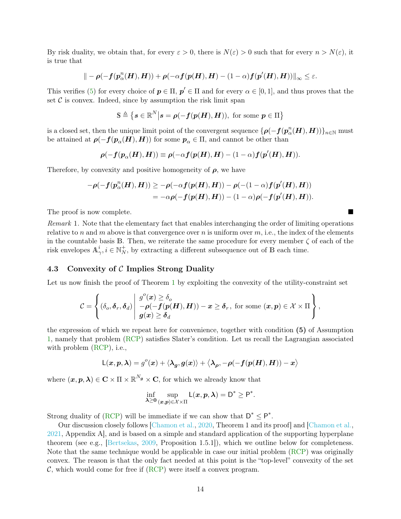By risk duality, we obtain that, for every  $\varepsilon > 0$ , there is  $N(\varepsilon) > 0$  such that for every  $n > N(\varepsilon)$ , it is true that

$$
\| -\rho(-\boldsymbol{f}(\boldsymbol{p}_{\alpha}^n(\boldsymbol{H}),\boldsymbol{H})) + \rho(-\alpha\boldsymbol{f}(\boldsymbol{p}(\boldsymbol{H}),\boldsymbol{H}) - (1-\alpha)\boldsymbol{f}(\boldsymbol{p}'(\boldsymbol{H}),\boldsymbol{H})) \|_{\infty} \leq \varepsilon.
$$

This verifies [\(5\)](#page-8-0) for every choice of  $p \in \Pi$ ,  $p' \in \Pi$  and for every  $\alpha \in [0,1]$ , and thus proves that the set  $\mathcal C$  is convex. Indeed, since by assumption the risk limit span

$$
\mathbb{S} \triangleq \left\{ s \in \mathbb{R}^N \middle| s = \rho(-f(p(H), H)), \text{ for some } p \in \Pi \right\}
$$

is a closed set, then the unique limit point of the convergent sequence  $\{\boldsymbol{\rho}(-\boldsymbol{f}(\boldsymbol{p}_{\alpha}^n(\boldsymbol{H}),\boldsymbol{H}))\}_{n\in\mathbb{N}}$  must be attained at  $\rho(-f(p_\alpha(H), H))$  for some  $p_\alpha \in \Pi$ , and cannot be other than

$$
\boldsymbol{\rho}(-\boldsymbol{f}(\boldsymbol{p}_{\alpha}(\boldsymbol{H}),\boldsymbol{H}))\equiv\boldsymbol{\rho}(-\alpha\boldsymbol{f}(\boldsymbol{p}(\boldsymbol{H}),\boldsymbol{H})-(1-\alpha)\boldsymbol{f}(\boldsymbol{p}'(\boldsymbol{H}),\boldsymbol{H})).
$$

Therefore, by convexity and positive homogeneity of  $\rho$ , we have

$$
-\rho(-\boldsymbol{f}(\boldsymbol{p}_{\alpha}^n(\boldsymbol{H}),\boldsymbol{H})) \geq -\rho(-\alpha\boldsymbol{f}(\boldsymbol{p}(\boldsymbol{H}),\boldsymbol{H})) - \rho(-(1-\alpha)\boldsymbol{f}(\boldsymbol{p}'(\boldsymbol{H}),\boldsymbol{H})) \\ = -\alpha\rho(-\boldsymbol{f}(\boldsymbol{p}(\boldsymbol{H}),\boldsymbol{H})) - (1-\alpha)\rho(-\boldsymbol{f}(\boldsymbol{p}'(\boldsymbol{H}),\boldsymbol{H})).
$$

The proof is now complete.

Remark 1. Note that the elementary fact that enables interchanging the order of limiting operations relative to n and m above is that convergence over n is uniform over  $m$ , i.e., the index of the elements in the countable basis B. Then, we reiterate the same procedure for every member  $\zeta$  of each of the risk envelopes  $A^i_\gamma, i \in \mathbb{N}_N^+$ , by extracting a different subsequence out of B each time.

### <span id="page-13-0"></span>4.3 Convexity of C Implies Strong Duality

Let us now finish the proof of Theorem [1](#page-7-2) by exploiting the convexity of the utility-constraint set

$$
\mathcal{C} = \left\{ (\delta_o, \delta_r, \delta_d) \middle| \begin{array}{l} g^o(\boldsymbol{x}) \geq \delta_o \\ -\rho(-f(\boldsymbol{p(H)}, \boldsymbol{H})) - \boldsymbol{x} \geq \delta_r, \text{ for some } (\boldsymbol{x}, \boldsymbol{p}) \in \mathcal{X} \times \Pi \\ g(\boldsymbol{x}) \geq \delta_d \end{array} \right\},
$$

the expression of which we repeat here for convenience, together with condition (5) of Assumption [1,](#page-5-1) namely that problem [\(RCP\)](#page-0-0) satisfies Slater's condition. Let us recall the Lagrangian associated with problem [\(RCP\)](#page-0-0), *i.e.*,

$$
L(\boldsymbol{x},\boldsymbol{p},\boldsymbol{\lambda})=g^{o}(\boldsymbol{x})+\langle\boldsymbol{\lambda}_{\boldsymbol{g}},\boldsymbol{g}(\boldsymbol{x})\rangle+\big\langle\boldsymbol{\lambda}_{\boldsymbol{\rho}},-\boldsymbol{\rho}(-\boldsymbol{f}(\boldsymbol{p}(\boldsymbol{H}),\boldsymbol{H}))-\boldsymbol{x}\big\rangle
$$

where  $(x, p, \lambda) \in \mathbb{C} \times \Pi \times \mathbb{R}^{N_{\mathcal{G}}} \times \mathbb{C}$ , for which we already know that

$$
\inf_{\lambda \geq 0} \sup_{(\boldsymbol{x},\boldsymbol{p}) \in \mathcal{X} \times \Pi} L(\boldsymbol{x},\boldsymbol{p},\boldsymbol{\lambda}) = D^* \geq P^*.
$$

Strong duality of [\(RCP\)](#page-0-0) will be immediate if we can show that  $D^* \le P^*$ .

Our discussion closely follows [\[Chamon et al.,](#page-15-10) [2020,](#page-15-10) Theorem 1 and its proof] and [\[Chamon et al.,](#page-15-11) [2021,](#page-15-11) Appendix A], and is based on a simple and standard application of the supporting hyperplane theorem (see e.g., [\[Bertsekas,](#page-15-7) [2009,](#page-15-7) Proposition 1.5.1]), which we outline below for completeness. Note that the same technique would be applicable in case our initial problem [\(RCP\)](#page-0-0) was originally convex. The reason is that the only fact needed at this point is the "top-level" convexity of the set  $\mathcal{C}$ , which would come for free if  $(RCP)$  were itself a convex program.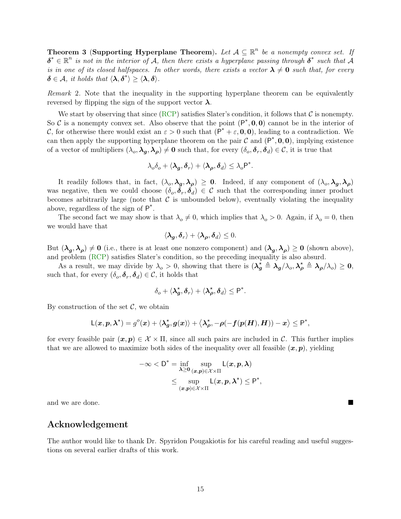Theorem 3 (Supporting Hyperplane Theorem). Let  $A \subseteq \mathbb{R}^n$  be a nonempty convex set. If  $\boldsymbol{\delta}^* \in \mathbb{R}^n$  is not in the interior of A, then there exists a hyperplane passing through  $\boldsymbol{\delta}^*$  such that A is in one of its closed halfspaces. In other words, there exists a vector  $\lambda \neq 0$  such that, for every  $\delta \in \mathcal{A}, \text{ it holds that } \langle \lambda, \delta^* \rangle \geq \langle \lambda, \delta \rangle.$ 

Remark 2. Note that the inequality in the supporting hyperplane theorem can be equivalently reversed by flipping the sign of the support vector  $\lambda$ .

We start by observing that since [\(RCP\)](#page-0-0) satisfies Slater's condition, it follows that  $\mathcal C$  is nonempty. So C is a nonempty convex set. Also observe that the point  $(P^*, 0, 0)$  cannot be in the interior of C, for otherwise there would exist an  $\varepsilon > 0$  such that  $(P^* + \varepsilon, 0, 0)$ , leading to a contradiction. We can then apply the supporting hyperplane theorem on the pair  $\mathcal C$  and  $(P^*, \mathbf{0}, \mathbf{0})$ , implying existence of a vector of multipliers  $(\lambda_o, \lambda_g, \lambda_\rho) \neq 0$  such that, for every  $(\delta_o, \delta_r, \delta_d) \in \mathcal{C}$ , it is true that

$$
\lambda_o \delta_o + \langle \boldsymbol{\lambda_g}, \boldsymbol{\delta_r} \rangle + \langle \boldsymbol{\lambda_\rho}, \boldsymbol{\delta_d} \rangle \leq \lambda_o \mathsf{P}^*.
$$

It readily follows that, in fact,  $(\lambda_o, \lambda_g, \lambda_\rho) \geq 0$ . Indeed, if any component of  $(\lambda_o, \lambda_g, \lambda_\rho)$ was negative, then we could choose  $(\delta_o, \delta_r, \delta_d) \in C$  such that the corresponding inner product becomes arbitrarily large (note that  $\mathcal C$  is unbounded below), eventually violating the inequality above, regardless of the sign of  $P^*$ .

The second fact we may show is that  $\lambda_o \neq 0$ , which implies that  $\lambda_o > 0$ . Again, if  $\lambda_o = 0$ , then we would have that

$$
\langle \boldsymbol{\lambda}_{\boldsymbol{g}}, \boldsymbol{\delta}_{r} \rangle + \langle \boldsymbol{\lambda}_{\boldsymbol{\rho}}, \boldsymbol{\delta}_{d} \rangle \leq 0.
$$

But  $(\lambda_g, \lambda_\rho) \neq 0$  (i.e., there is at least one nonzero component) and  $(\lambda_g, \lambda_\rho) \geq 0$  (shown above), and problem [\(RCP\)](#page-0-0) satisfies Slater's condition, so the preceding inequality is also absurd.

As a result, we may divide by  $\lambda_o > 0$ , showing that there is  $(\lambda_g^{\star} \triangleq \lambda_g/\lambda_o, \lambda_\rho^{\star} \triangleq \lambda_\rho/\lambda_o) \geq 0$ , such that, for every  $(\delta_o, \delta_r, \delta_d) \in \mathcal{C}$ , it holds that

$$
\delta_o + \langle \lambda_g^*, \delta_r \rangle + \langle \lambda_\rho^*, \delta_d \rangle \leq P^*.
$$

By construction of the set  $\mathcal{C}$ , we obtain

$$
\mathsf L(\boldsymbol x, \boldsymbol p, \boldsymbol \lambda^\star) = g^o(\boldsymbol x) + \langle \boldsymbol \lambda_{\boldsymbol g}^\star, \boldsymbol g(\boldsymbol x) \rangle + \big\langle \boldsymbol \lambda_{\boldsymbol \rho}^\star, -\boldsymbol \rho(-\boldsymbol f(\boldsymbol p(\boldsymbol H), \boldsymbol H)) - \boldsymbol x \big\rangle \leq \mathsf P^*,
$$

for every feasible pair  $(x, p) \in \mathcal{X} \times \Pi$ , since all such pairs are included in C. This further implies that we are allowed to maximize both sides of the inequality over all feasible  $(x, p)$ , yielding

$$
-\infty < \mathsf{D}^* = \inf_{\boldsymbol{\lambda} \geq \mathbf{0}} \sup_{(\boldsymbol{x},\boldsymbol{p}) \in \mathcal{X} \times \Pi} \mathsf{L}(\boldsymbol{x},\boldsymbol{p},\boldsymbol{\lambda})
$$
  
\$\leq\$ 
$$
\sup_{(\boldsymbol{x},\boldsymbol{p}) \in \mathcal{X} \times \Pi} \mathsf{L}(\boldsymbol{x},\boldsymbol{p},\boldsymbol{\lambda}^*) \leq \mathsf{P}^*,$
$$

and we are done.

### Acknowledgement

The author would like to thank Dr. Spyridon Pougakiotis for his careful reading and useful suggestions on several earlier drafts of this work.